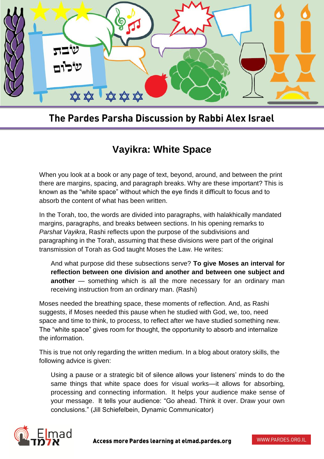

## The Pardes Parsha Discussion by Rabbi Alex Israel

## **Vayikra: White Space**

When you look at a book or any page of text, beyond, around, and between the print there are margins, spacing, and paragraph breaks. Why are these important? This is known as the "white space" without which the eye finds it difficult to focus and to absorb the content of what has been written.

In the Torah, too, the words are divided into paragraphs, with halakhically mandated margins, paragraphs, and breaks between sections. In his opening remarks to *Parshat Vayikra*, Rashi reflects upon the purpose of the subdivisions and paragraphing in the Torah, assuming that these divisions were part of the original transmission of Torah as God taught Moses the Law. He writes:

And what purpose did these subsections serve? **To give Moses an interval for reflection between one division and another and between one subject and another** — something which is all the more necessary for an ordinary man receiving instruction from an ordinary man. (Rashi)

Moses needed the breathing space, these moments of reflection. And, as Rashi suggests, if Moses needed this pause when he studied with God, we, too, need space and time to think, to process, to reflect after we have studied something new. The "white space" gives room for thought, the opportunity to absorb and internalize the information.

This is true not only regarding the written medium. In a blog about oratory skills, the following advice is given:

Using a pause or a strategic bit of silence allows your listeners' minds to do the same things that white space does for visual works—it allows for absorbing, processing and connecting information. It helps your audience make sense of your message. It tells your audience: "Go ahead. Think it over. Draw your own conclusions." (Jill Schiefelbein, Dynamic Communicator)